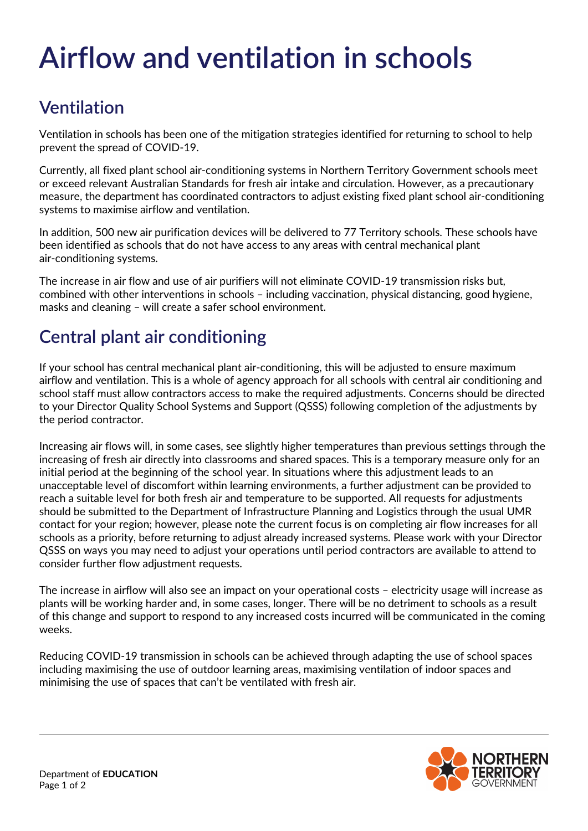## **Airflow and ventilation in schools**

## **Ventilation**

Ventilation in schools has been one of the mitigation strategies identified for returning to school to help prevent the spread of COVID-19.

Currently, all fixed plant school air-conditioning systems in Northern Territory Government schools meet or exceed relevant Australian Standards for fresh air intake and circulation. However, as a precautionary measure, the department has coordinated contractors to adjust existing fixed plant school air-conditioning systems to maximise airflow and ventilation.

In addition, 500 new air purification devices will be delivered to 77 Territory schools. These schools have been identified as schools that do not have access to any areas with central mechanical plant air-conditioning systems.

The increase in air flow and use of air purifiers will not eliminate COVID-19 transmission risks but, combined with other interventions in schools – including vaccination, physical distancing, good hygiene, masks and cleaning – will create a safer school environment.

## **Central plant air conditioning**

If your school has central mechanical plant air-conditioning, this will be adjusted to ensure maximum airflow and ventilation. This is a whole of agency approach for all schools with central air conditioning and school staff must allow contractors access to make the required adjustments. Concerns should be directed to your Director Quality School Systems and Support (QSSS) following completion of the adjustments by the period contractor.

Increasing air flows will, in some cases, see slightly higher temperatures than previous settings through the increasing of fresh air directly into classrooms and shared spaces. This is a temporary measure only for an initial period at the beginning of the school year. In situations where this adjustment leads to an unacceptable level of discomfort within learning environments, a further adjustment can be provided to reach a suitable level for both fresh air and temperature to be supported. All requests for adjustments should be submitted to the Department of Infrastructure Planning and Logistics through the usual UMR contact for your region; however, please note the current focus is on completing air flow increases for all schools as a priority, before returning to adjust already increased systems. Please work with your Director QSSS on ways you may need to adjust your operations until period contractors are available to attend to consider further flow adjustment requests.

The increase in airflow will also see an impact on your operational costs – electricity usage will increase as plants will be working harder and, in some cases, longer. There will be no detriment to schools as a result of this change and support to respond to any increased costs incurred will be communicated in the coming weeks.

Reducing COVID-19 transmission in schools can be achieved through adapting the use of school spaces including maximising the use of outdoor learning areas, maximising ventilation of indoor spaces and minimising the use of spaces that can't be ventilated with fresh air.